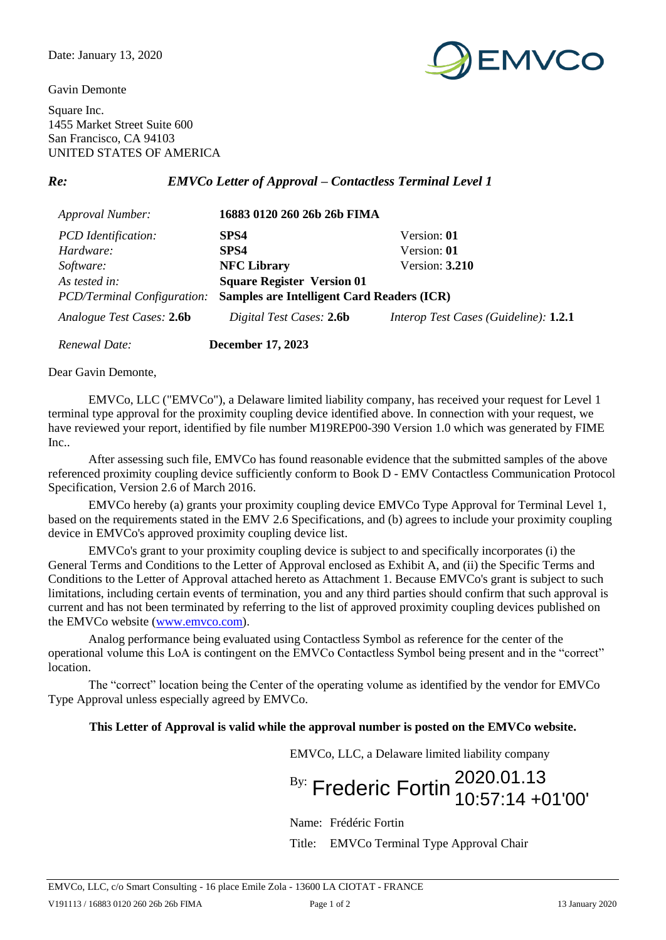Gavin Demonte



Square Inc. 1455 Market Street Suite 600 San Francisco, CA 94103 UNITED STATES OF AMERICA

*Re: EMVCo Letter of Approval – Contactless Terminal Level 1*

| <b>Approval Number:</b>            | 16883 0120 260 26b 26b FIMA                       |                                       |
|------------------------------------|---------------------------------------------------|---------------------------------------|
| <b>PCD</b> Identification:         | SPS4                                              | Version: 01                           |
| Hardware:                          | SPS4                                              | Version: 01                           |
| Software:                          | <b>NFC Library</b>                                | Version: $3.210$                      |
| As tested in:                      | <b>Square Register Version 01</b>                 |                                       |
| <b>PCD/Terminal Configuration:</b> | <b>Samples are Intelligent Card Readers (ICR)</b> |                                       |
| Analogue Test Cases: 2.6b          | Digital Test Cases: 2.6b                          | Interop Test Cases (Guideline): 1.2.1 |
| Renewal Date:                      | <b>December 17, 2023</b>                          |                                       |

Dear Gavin Demonte,

EMVCo, LLC ("EMVCo"), a Delaware limited liability company, has received your request for Level 1 terminal type approval for the proximity coupling device identified above. In connection with your request, we have reviewed your report, identified by file number M19REP00-390 Version 1.0 which was generated by FIME Inc..

After assessing such file, EMVCo has found reasonable evidence that the submitted samples of the above referenced proximity coupling device sufficiently conform to Book D - EMV Contactless Communication Protocol Specification, Version 2.6 of March 2016.

EMVCo hereby (a) grants your proximity coupling device EMVCo Type Approval for Terminal Level 1, based on the requirements stated in the EMV 2.6 Specifications, and (b) agrees to include your proximity coupling device in EMVCo's approved proximity coupling device list.

EMVCo's grant to your proximity coupling device is subject to and specifically incorporates (i) the General Terms and Conditions to the Letter of Approval enclosed as Exhibit A, and (ii) the Specific Terms and Conditions to the Letter of Approval attached hereto as Attachment 1. Because EMVCo's grant is subject to such limitations, including certain events of termination, you and any third parties should confirm that such approval is current and has not been terminated by referring to the list of approved proximity coupling devices published on the EMVCo website [\(www.emvco.com\)](http://www.emvco.com/).

Analog performance being evaluated using Contactless Symbol as reference for the center of the operational volume this LoA is contingent on the EMVCo Contactless Symbol being present and in the "correct" location.

The "correct" location being the Center of the operating volume as identified by the vendor for EMVCo Type Approval unless especially agreed by EMVCo.

## **This Letter of Approval is valid while the approval number is posted on the EMVCo website.**

EMVCo, LLC, a Delaware limited liability company

 $B_{\text{B}}$ : Frederic Fortin  $^{2020.01.13}_{40.57.14\pm0.05}$ 10:57:14 +01'00'

Name: Frédéric Fortin

Title: EMVCo Terminal Type Approval Chair